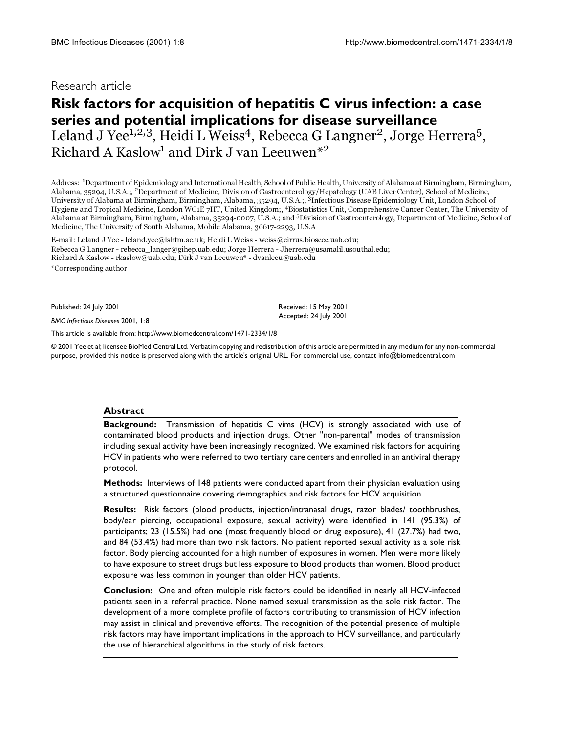## **Research article**

# **Risk factors for acquisition of hepatitis C virus infection: a case series and potential implications for disease surveillance** Leland J Yee<sup>1,2,3</sup>, Heidi L Weiss<sup>4</sup>, Rebecca G Langner<sup>2</sup>, Jorge Herrera<sup>5</sup>, Richard A Kaslow<sup>1</sup> and Dirk J van Leeuwen<sup>\*2</sup>

Address: <sup>1</sup>Department of Epidemiology and International Health, School of Public Health, University of Alabama at Birmingham, Birmingham, Alabama, 35294, U.S.A.;, 2Department of Medicine, Division of Gastroenterology/Hepatology (UAB Liver Center), School of Medicine, University of Alabama at Birmingham, Birmingham, Alabama, 35294, U.S.A.;, 3Infectious Disease Epidemiology Unit, London School of Hygiene and Tropical Medicine, London WC1E 7HT, United Kingdom;, 4Biostatistics Unit, Comprehensive Cancer Center, The University of Alabama at Birmingham, Birmingham, Alabama, 35294-0007, U.S.A.; and 5Division of Gastroenterology, Department of Medicine, School of Medicine, The University of South Alabama, Mobile Alabama, 36617-2293, U.S.A

E-mail: Leland J Yee - leland.yee@lshtm.ac.uk; Heidi L Weiss - weiss@cirrus.biosccc.uab.edu; Rebecca G Langner - rebecca\_langer@gihep.uab.edu; Jorge Herrera - Jherrera@usamalil.usouthal.edu; Richard A Kaslow - rkaslow@uab.edu; Dirk J van Leeuwen\* - dvanleeu@uab.edu \*Corresponding author

Published: 24 July 2001

*BMC Infectious Diseases* 2001, **1**:8

[This article is available from: http://www.biomedcentral.com/1471-2334/1/8](http://www.biomedcentral.com/1471-2334/1/8)

© 2001 Yee et al; licensee BioMed Central Ltd. Verbatim copying and redistribution of this article are permitted in any medium for any non-commercial purpose, provided this notice is preserved along with the article's original URL. For commercial use, contact info@biomedcentral.com

Received: 15 May 2001 Accepted: 24 July 2001

#### **Abstract**

**Background:** Transmission of hepatitis C vims (HCV) is strongly associated with use of contaminated blood products and injection drugs. Other "non-parental" modes of transmission including sexual activity have been increasingly recognized. We examined risk factors for acquiring HCV in patients who were referred to two tertiary care centers and enrolled in an antiviral therapy protocol.

**Methods:** Interviews of 148 patients were conducted apart from their physician evaluation using a structured questionnaire covering demographics and risk factors for HCV acquisition.

**Results:** Risk factors (blood products, injection/intranasal drugs, razor blades/ toothbrushes, body/ear piercing, occupational exposure, sexual activity) were identified in 141 (95.3%) of participants; 23 (15.5%) had one (most frequently blood or drug exposure), 41 (27.7%) had two, and 84 (53.4%) had more than two risk factors. No patient reported sexual activity as a sole risk factor. Body piercing accounted for a high number of exposures in women. Men were more likely to have exposure to street drugs but less exposure to blood products than women. Blood product exposure was less common in younger than older HCV patients.

**Conclusion:** One and often multiple risk factors could be identified in nearly all HCV-infected patients seen in a referral practice. None named sexual transmission as the sole risk factor. The development of a more complete profile of factors contributing to transmission of HCV infection may assist in clinical and preventive efforts. The recognition of the potential presence of multiple risk factors may have important implications in the approach to HCV surveillance, and particularly the use of hierarchical algorithms in the study of risk factors.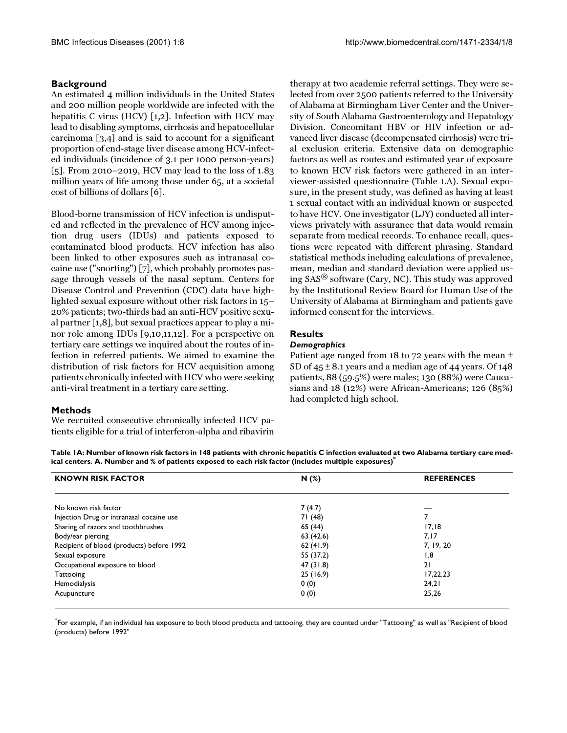## **Background**

An estimated 4 million individuals in the United States and 200 million people worldwide are infected with the hepatitis C virus (HCV) [\[1](#page-4-0)[,2\]](#page-4-1). Infection with HCV may lead to disabling symptoms, cirrhosis and hepatocellular carcinoma [\[3,](#page-4-2)[4\]](#page-4-3) and is said to account for a significant proportion of end-stage liver disease among HCV-infected individuals (incidence of 3.1 per 1000 person-years) [[5](#page-4-4)]. From 2010–2019, HCV may lead to the loss of 1.83 million years of life among those under 65, at a societal cost of billions of dollars [\[6\]](#page-4-5).

Blood-borne transmission of HCV infection is undisputed and reflected in the prevalence of HCV among injection drug users (IDUs) and patients exposed to contaminated blood products. HCV infection has also been linked to other exposures such as intranasal cocaine use ("snorting") [[7](#page-4-6)], which probably promotes passage through vessels of the nasal septum. Centers for Disease Control and Prevention (CDC) data have highlighted sexual exposure without other risk factors in 15– 20% patients; two-thirds had an anti-HCV positive sexual partner [\[1](#page-4-0)[,8\]](#page-4-7), but sexual practices appear to play a minor role among IDUs [[9](#page-4-8),[10](#page-4-9)[,11](#page-4-10)[,12](#page-4-11)]. For a perspective on tertiary care settings we inquired about the routes of infection in referred patients. We aimed to examine the distribution of risk factors for HCV acquisition among patients chronically infected with HCV who were seeking anti-viral treatment in a tertiary care setting.

## **Methods**

We recruited consecutive chronically infected HCV patients eligible for a trial of interferon-alpha and ribavirin

therapy at two academic referral settings. They were selected from over 2500 patients referred to the University of Alabama at Birmingham Liver Center and the University of South Alabama Gastroenterology and Hepatology Division. Concomitant HBV or HIV infection or advanced liver disease (decompensated cirrhosis) were trial exclusion criteria. Extensive data on demographic factors as well as routes and estimated year of exposure to known HCV risk factors were gathered in an interviewer-assisted questionnaire (Table [1.](#page-1-0)A). Sexual exposure, in the present study, was defined as having at least 1 sexual contact with an individual known or suspected to have HCV. One investigator (LJY) conducted all interviews privately with assurance that data would remain separate from medical records. To enhance recall, questions were repeated with different phrasing. Standard statistical methods including calculations of prevalence, mean, median and standard deviation were applied using SAS*®* software (Cary, NC). This study was approved by the Institutional Review Board for Human Use of the University of Alabama at Birmingham and patients gave informed consent for the interviews.

## **Results**

## *Demographics*

<span id="page-1-0"></span>Patient age ranged from 18 to 72 years with the mean  $\pm$ SD of  $45 \pm 8.1$  years and a median age of 44 years. Of 148 patients, 88 (59.5%) were males; 130 (88%) were Caucasians and 18 (12%) were African-Americans; 126 (85%) had completed high school.

| Table IA: Number of known risk factors in 148 patients with chronic hepatitis C infection evaluated at two Alabama tertiary care med- |  |
|---------------------------------------------------------------------------------------------------------------------------------------|--|
| ical centers. A. Number and $\%$ of patients exposed to each risk factor (includes multiple exposures) $^{\ast}$                      |  |

| <b>KNOWN RISK FACTOR</b>                  | N(%)      | <b>REFERENCES</b> |  |
|-------------------------------------------|-----------|-------------------|--|
|                                           |           |                   |  |
| No known risk factor                      | 7(4.7)    |                   |  |
| Injection Drug or intranasal cocaine use  | 71 (48)   |                   |  |
| Sharing of razors and toothbrushes        | 65 (44)   | 17,18             |  |
| Body/ear piercing                         | 63 (42.6) | 7,17              |  |
| Recipient of blood (products) before 1992 | 62(41.9)  | 7, 19, 20         |  |
| Sexual exposure                           | 55 (37.2) | 1,8               |  |
| Occupational exposure to blood            | 47 (31.8) | 21                |  |
| Tattooing                                 | 25(16.9)  | 17,22,23          |  |
| Hemodialysis                              | 0(0)      | 24,21             |  |
| Acupuncture                               | 0(0)      | 25,26             |  |

\* For example, if an individual has exposure to both blood products and tattooing, they are counted under "Tattooing" as well as "Recipient of blood (products) before 1992"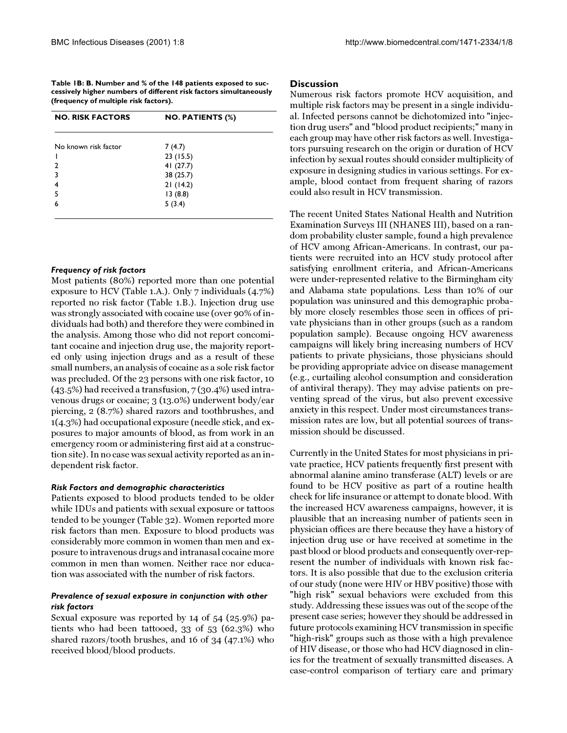**Table 1B: B. Number and % of the 148 patients exposed to successively higher numbers of different risk factors simultaneously (frequency of multiple risk factors).**

| <b>NO. RISK FACTORS</b> | <b>NO. PATIENTS (%)</b> |  |  |  |
|-------------------------|-------------------------|--|--|--|
| No known risk factor    | 7(4.7)                  |  |  |  |
|                         | 23(15.5)                |  |  |  |
| 2                       | 41 $(27.7)$             |  |  |  |
| 3                       | 38 (25.7)               |  |  |  |
| 4                       | 21(14.2)                |  |  |  |
| 5                       | 13(8.8)                 |  |  |  |
| 6                       | 5(3.4)                  |  |  |  |
|                         |                         |  |  |  |

#### *Frequency of risk factors*

Most patients (80%) reported more than one potential exposure to HCV (Table [1.](#page-1-0)A.). Only 7 individuals (4.7%) reported no risk factor (Table 1.B.). Injection drug use was strongly associated with cocaine use (over 90% of individuals had both) and therefore they were combined in the analysis. Among those who did not report concomitant cocaine and injection drug use, the majority reported only using injection drugs and as a result of these small numbers, an analysis of cocaine as a sole risk factor was precluded. Of the 23 persons with one risk factor, 10 (43.5%) had received a transfusion, 7 (30.4%) used intravenous drugs or cocaine; 3 (13.0%) underwent body/ear piercing, 2 (8.7%) shared razors and toothbrushes, and 1(4.3%) had occupational exposure (needle stick, and exposures to major amounts of blood, as from work in an emergency room or administering first aid at a construction site). In no case was sexual activity reported as an independent risk factor.

#### *Risk Factors and demographic characteristics*

Patients exposed to blood products tended to be older while IDUs and patients with sexual exposure or tattoos tended to be younger (Table [32](#page-3-0)). Women reported more risk factors than men. Exposure to blood products was considerably more common in women than men and exposure to intravenous drugs and intranasal cocaine more common in men than women. Neither race nor education was associated with the number of risk factors.

## *Prevalence of sexual exposure in conjunction with other risk factors*

Sexual exposure was reported by 14 of 54 (25.9%) patients who had been tattooed, 33 of 53 (62.3%) who shared razors/tooth brushes, and 16 of 34 (47.1%) who received blood/blood products.

### **Discussion**

Numerous risk factors promote HCV acquisition, and multiple risk factors may be present in a single individual. Infected persons cannot be dichotomized into "injection drug users" and "blood product recipients;" many in each group may have other risk factors as well. Investigators pursuing research on the origin or duration of HCV infection by sexual routes should consider multiplicity of exposure in designing studies in various settings. For example, blood contact from frequent sharing of razors could also result in HCV transmission.

The recent United States National Health and Nutrition Examination Surveys III (NHANES III), based on a random probability cluster sample, found a high prevalence of HCV among African-Americans. In contrast, our patients were recruited into an HCV study protocol after satisfying enrollment criteria, and African-Americans were under-represented relative to the Birmingham city and Alabama state populations. Less than 10% of our population was uninsured and this demographic probably more closely resembles those seen in offices of private physicians than in other groups (such as a random population sample). Because ongoing HCV awareness campaigns will likely bring increasing numbers of HCV patients to private physicians, those physicians should be providing appropriate advice on disease management (e.g., curtailing alcohol consumption and consideration of antiviral therapy). They may advise patients on preventing spread of the virus, but also prevent excessive anxiety in this respect. Under most circumstances transmission rates are low, but all potential sources of transmission should be discussed.

Currently in the United States for most physicians in private practice, HCV patients frequently first present with abnormal alanine amino transferase (ALT) levels or are found to be HCV positive as part of a routine health check for life insurance or attempt to donate blood. With the increased HCV awareness campaigns, however, it is plausible that an increasing number of patients seen in physician offices are there because they have a history of injection drug use or have received at sometime in the past blood or blood products and consequently over-represent the number of individuals with known risk factors. It is also possible that due to the exclusion criteria of our study (none were HIV or HBV positive) those with "high risk" sexual behaviors were excluded from this study. Addressing these issues was out of the scope of the present case series; however they should be addressed in future protocols examining HCV transmission in specific "high-risk" groups such as those with a high prevalence of HIV disease, or those who had HCV diagnosed in clinics for the treatment of sexually transmitted diseases. A case-control comparison of tertiary care and primary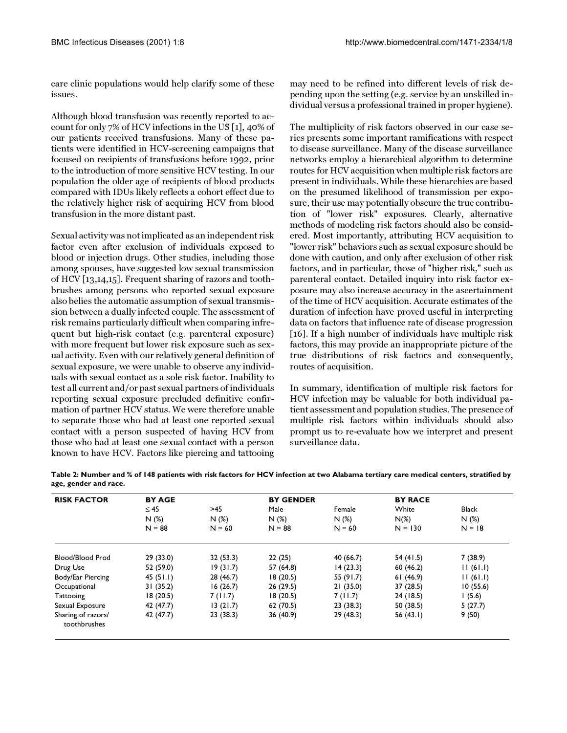care clinic populations would help clarify some of these issues.

Although blood transfusion was recently reported to account for only 7% of HCV infections in the US [[1](#page-4-0)], 40% of our patients received transfusions. Many of these patients were identified in HCV-screening campaigns that focused on recipients of transfusions before 1992, prior to the introduction of more sensitive HCV testing. In our population the older age of recipients of blood products compared with IDUs likely reflects a cohort effect due to the relatively higher risk of acquiring HCV from blood transfusion in the more distant past.

Sexual activity was not implicated as an independent risk factor even after exclusion of individuals exposed to blood or injection drugs. Other studies, including those among spouses, have suggested low sexual transmission of HCV [\[13](#page-4-12),[14](#page-4-13)[,15](#page-4-14)]. Frequent sharing of razors and toothbrushes among persons who reported sexual exposure also belies the automatic assumption of sexual transmission between a dually infected couple. The assessment of risk remains particularly difficult when comparing infrequent but high-risk contact (e.g. parenteral exposure) with more frequent but lower risk exposure such as sexual activity. Even with our relatively general definition of sexual exposure, we were unable to observe any individuals with sexual contact as a sole risk factor. Inability to test all current and/or past sexual partners of individuals reporting sexual exposure precluded definitive confirmation of partner HCV status. We were therefore unable to separate those who had at least one reported sexual contact with a person suspected of having HCV from those who had at least one sexual contact with a person known to have HCV. Factors like piercing and tattooing may need to be refined into different levels of risk depending upon the setting (e.g. service by an unskilled individual versus a professional trained in proper hygiene).

The multiplicity of risk factors observed in our case series presents some important ramifications with respect to disease surveillance. Many of the disease surveillance networks employ a hierarchical algorithm to determine routes for HCV acquisition when multiple risk factors are present in individuals. While these hierarchies are based on the presumed likelihood of transmission per exposure, their use may potentially obscure the true contribution of "lower risk" exposures. Clearly, alternative methods of modeling risk factors should also be considered. Most importantly, attributing HCV acquisition to "lower risk" behaviors such as sexual exposure should be done with caution, and only after exclusion of other risk factors, and in particular, those of "higher risk," such as parenteral contact. Detailed inquiry into risk factor exposure may also increase accuracy in the ascertainment of the time of HCV acquisition. Accurate estimates of the duration of infection have proved useful in interpreting data on factors that influence rate of disease progression [[16](#page-4-15)]. If a high number of individuals have multiple risk factors, this may provide an inappropriate picture of the true distributions of risk factors and consequently, routes of acquisition.

<span id="page-3-0"></span>In summary, identification of multiple risk factors for HCV infection may be valuable for both individual patient assessment and population studies. The presence of multiple risk factors within individuals should also prompt us to re-evaluate how we interpret and present surveillance data.

| <b>RISK FACTOR</b>                 | <b>BY AGE</b>    |                  | <b>BY GENDER</b> |                  | <b>BY RACE</b>       |                  |
|------------------------------------|------------------|------------------|------------------|------------------|----------------------|------------------|
|                                    | $\leq 45$<br>>45 |                  | Male             | Female           | White                | <b>Black</b>     |
|                                    | N(%)<br>$N = 88$ | N(%)<br>$N = 60$ | N(%)<br>$N = 88$ | N(%)<br>$N = 60$ | $N(\%)$<br>$N = 130$ | N(%)<br>$N = 18$ |
|                                    |                  |                  |                  |                  |                      |                  |
| Drug Use                           | 52 (59.0)        | 19(31.7)         | 57 (64.8)        | 14(23.3)         | 60(46.2)             | 11(61.1)         |
| Body/Ear Piercing                  | 45(51.1)         | 28 (46.7)        | 18(20.5)         | 55 (91.7)        | 61(46.9)             | 11(61.1)         |
| Occupational                       | 31(35.2)         | 16(26.7)         | 26(29.5)         | 21(35.0)         | 37 (28.5)            | 10(55.6)         |
| Tattooing                          | 18(20.5)         | 7(11.7)          | 18(20.5)         | 7(11.7)          | 24 (18.5)            | (5.6)            |
| Sexual Exposure                    | 42 (47.7)        | 13(21.7)         | 62(70.5)         | 23(38.3)         | 50 (38.5)            | 5(27.7)          |
| Sharing of razors/<br>toothbrushes | 42 (47.7)        | 23(38.3)         | 36(40.9)         | 29(48.3)         | 56 $(43.1)$          | 9(50)            |

**Table 2: Number and % of 148 patients with risk factors for HCV infection at two Alabama tertiary care medical centers, stratified by age, gender and race.**